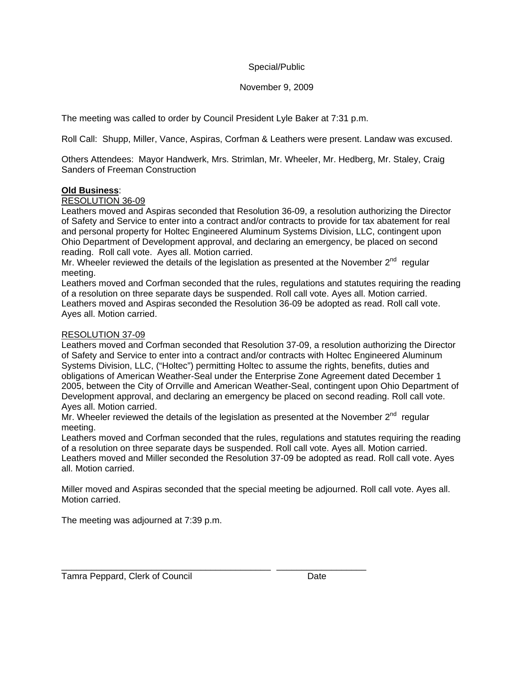## Special/Public

# November 9, 2009

The meeting was called to order by Council President Lyle Baker at 7:31 p.m.

Roll Call: Shupp, Miller, Vance, Aspiras, Corfman & Leathers were present. Landaw was excused.

Others Attendees: Mayor Handwerk, Mrs. Strimlan, Mr. Wheeler, Mr. Hedberg, Mr. Staley, Craig Sanders of Freeman Construction

### **Old Business**:

# RESOLUTION 36-09

Leathers moved and Aspiras seconded that Resolution 36-09, a resolution authorizing the Director of Safety and Service to enter into a contract and/or contracts to provide for tax abatement for real and personal property for Holtec Engineered Aluminum Systems Division, LLC, contingent upon Ohio Department of Development approval, and declaring an emergency, be placed on second reading. Roll call vote. Ayes all. Motion carried.

Mr. Wheeler reviewed the details of the legislation as presented at the November  $2^{nd}$  regular meeting.

Leathers moved and Corfman seconded that the rules, regulations and statutes requiring the reading of a resolution on three separate days be suspended. Roll call vote. Ayes all. Motion carried. Leathers moved and Aspiras seconded the Resolution 36-09 be adopted as read. Roll call vote. Ayes all. Motion carried.

### RESOLUTION 37-09

Leathers moved and Corfman seconded that Resolution 37-09, a resolution authorizing the Director of Safety and Service to enter into a contract and/or contracts with Holtec Engineered Aluminum Systems Division, LLC, ("Holtec") permitting Holtec to assume the rights, benefits, duties and obligations of American Weather-Seal under the Enterprise Zone Agreement dated December 1 2005, between the City of Orrville and American Weather-Seal, contingent upon Ohio Department of Development approval, and declaring an emergency be placed on second reading. Roll call vote. Ayes all. Motion carried.

Mr. Wheeler reviewed the details of the legislation as presented at the November  $2<sup>nd</sup>$  regular meeting.

Leathers moved and Corfman seconded that the rules, regulations and statutes requiring the reading of a resolution on three separate days be suspended. Roll call vote. Ayes all. Motion carried. Leathers moved and Miller seconded the Resolution 37-09 be adopted as read. Roll call vote. Ayes all. Motion carried.

Miller moved and Aspiras seconded that the special meeting be adjourned. Roll call vote. Ayes all. Motion carried.

\_\_\_\_\_\_\_\_\_\_\_\_\_\_\_\_\_\_\_\_\_\_\_\_\_\_\_\_\_\_\_\_\_\_\_\_\_\_\_\_\_\_ \_\_\_\_\_\_\_\_\_\_\_\_\_\_\_\_\_\_

The meeting was adjourned at 7:39 p.m.

Tamra Peppard, Clerk of Council **Date**